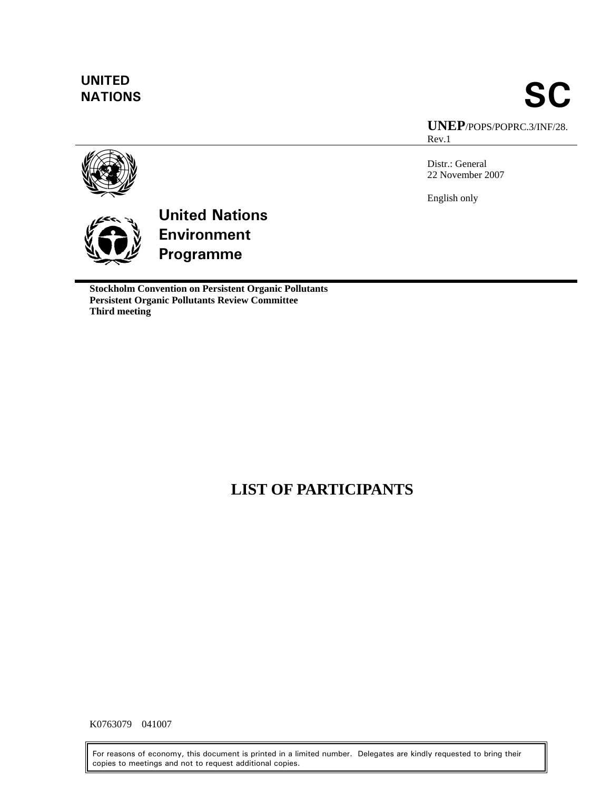# **UNITED**

# **NATIONS** SC **UNEP**/POPS/POPRC.3/INF/28. Rev.1

Distr.: General 22 November 2007

English only





**Stockholm Convention on Persistent Organic Pollutants Persistent Organic Pollutants Review Committee Third meeting** 

# **LIST OF PARTICIPANTS**

K0763079 041007

For reasons of economy, this document is printed in a limited number. Delegates are kindly requested to bring their copies to meetings and not to request additional copies.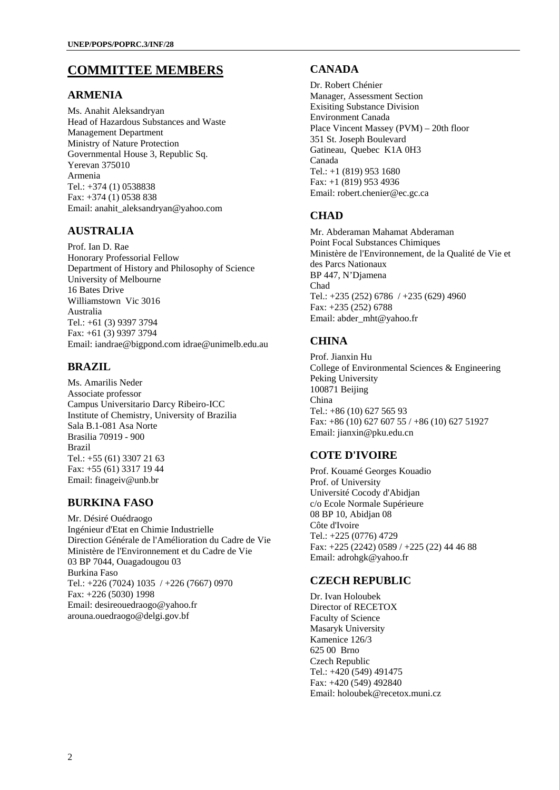# **COMMITTEE MEMBERS**

#### **ARMENIA**

Ms. Anahit Aleksandryan Head of Hazardous Substances and Waste Management Department Ministry of Nature Protection Governmental House 3, Republic Sq. Yerevan 375010 Armenia Tel.: +374 (1) 0538838 Fax: +374 (1) 0538 838 Email: anahit\_aleksandryan@yahoo.com

#### **AUSTRALIA**

Prof. Ian D. Rae Honorary Professorial Fellow Department of History and Philosophy of Science University of Melbourne 16 Bates Drive Williamstown Vic 3016 Australia Tel.: +61 (3) 9397 3794 Fax: +61 (3) 9397 3794 Email: iandrae@bigpond.com idrae@unimelb.edu.au

#### **BRAZIL**

Ms. Amarilis Neder Associate professor Campus Universitario Darcy Ribeiro-ICC Institute of Chemistry, University of Brazilia Sala B.1-081 Asa Norte Brasilia 70919 - 900 Brazil Tel.: +55 (61) 3307 21 63 Fax: +55 (61) 3317 19 44 Email: finageiv@unb.br

#### **BURKINA FASO**

Mr. Désiré Ouédraogo Ingénieur d'Etat en Chimie Industrielle Direction Générale de l'Amélioration du Cadre de Vie Ministère de l'Environnement et du Cadre de Vie 03 BP 7044, Ouagadougou 03 Burkina Faso Tel.: +226 (7024) 1035 / +226 (7667) 0970 Fax: +226 (5030) 1998 Email: desireouedraogo@yahoo.fr arouna.ouedraogo@delgi.gov.bf

#### **CANADA**

Dr. Robert Chénier Manager, Assessment Section Exisiting Substance Division Environment Canada Place Vincent Massey (PVM) – 20th floor 351 St. Joseph Boulevard Gatineau, Quebec K1A 0H3 Canada Tel.: +1 (819) 953 1680 Fax: +1 (819) 953 4936 Email: robert.chenier@ec.gc.ca

#### **CHAD**

Mr. Abderaman Mahamat Abderaman Point Focal Substances Chimiques Ministère de l'Environnement, de la Qualité de Vie et des Parcs Nationaux BP 447, N'Djamena Chad Tel.: +235 (252) 6786 / +235 (629) 4960 Fax: +235 (252) 6788 Email: abder\_mht@yahoo.fr

#### **CHINA**

Prof. Jianxin Hu College of Environmental Sciences & Engineering Peking University 100871 Beijing China Tel.: +86 (10) 627 565 93 Fax: +86 (10) 627 607 55 / +86 (10) 627 51927 Email: jianxin@pku.edu.cn

# **COTE D'IVOIRE**

Prof. Kouamé Georges Kouadio Prof. of University Université Cocody d'Abidjan c/o Ecole Normale Supérieure 08 BP 10, Abidjan 08 Côte d'Ivoire Tel.: +225 (0776) 4729 Fax: +225 (2242) 0589 / +225 (22) 44 46 88 Email: adrohgk@yahoo.fr

#### **CZECH REPUBLIC**

Dr. Ivan Holoubek Director of RECETOX Faculty of Science Masaryk University Kamenice 126/3 625 00 Brno Czech Republic Tel.: +420 (549) 491475 Fax: +420 (549) 492840 Email: holoubek@recetox.muni.cz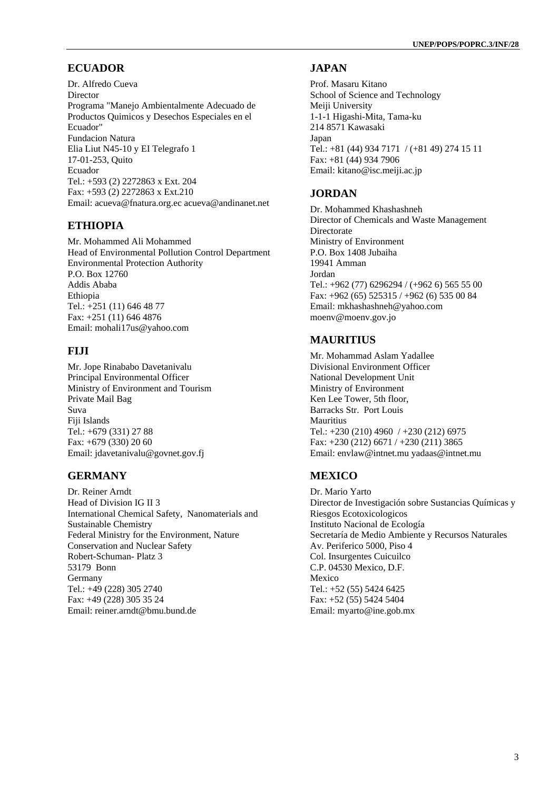# **ECUADOR**

Dr. Alfredo Cueva Director Programa "Manejo Ambientalmente Adecuado de Productos Quimicos y Desechos Especiales en el Ecuador" Fundacion Natura Elia Liut N45-10 y EI Telegrafo 1 17-01-253, Quito Ecuador Tel.: +593 (2) 2272863 x Ext. 204 Fax: +593 (2) 2272863 x Ext.210 Email: acueva@fnatura.org.ec acueva@andinanet.net

# **ETHIOPIA**

Mr. Mohammed Ali Mohammed Head of Environmental Pollution Control Department Environmental Protection Authority P.O. Box 12760 Addis Ababa Ethiopia Tel.: +251 (11) 646 48 77 Fax: +251 (11) 646 4876 Email: mohali17us@yahoo.com

# **FIJI**

Mr. Jope Rinababo Davetanivalu Principal Environmental Officer Ministry of Environment and Tourism Private Mail Bag Suva Fiji Islands Tel.: +679 (331) 27 88 Fax: +679 (330) 20 60 Email: jdavetanivalu@govnet.gov.fj

# **GERMANY**

Dr. Reiner Arndt Head of Division IG II 3 International Chemical Safety, Nanomaterials and Sustainable Chemistry Federal Ministry for the Environment, Nature Conservation and Nuclear Safety Robert-Schuman- Platz 3 53179 Bonn Germany Tel.: +49 (228) 305 2740 Fax: +49 (228) 305 35 24 Email: reiner.arndt@bmu.bund.de

#### **JAPAN**

Prof. Masaru Kitano School of Science and Technology Meiji University 1-1-1 Higashi-Mita, Tama-ku 214 8571 Kawasaki Japan Tel.: +81 (44) 934 7171 / (+81 49) 274 15 11 Fax: +81 (44) 934 7906 Email: kitano@isc.meiji.ac.jp

#### **JORDAN**

Dr. Mohammed Khashashneh Director of Chemicals and Waste Management Directorate Ministry of Environment P.O. Box 1408 Jubaiha 19941 Amman Jordan Tel.: +962 (77) 6296294 / (+962 6) 565 55 00 Fax: +962 (65) 525315 / +962 (6) 535 00 84 Email: mkhashashneh@yahoo.com moenv@moenv.gov.jo

#### **MAURITIUS**

Mr. Mohammad Aslam Yadallee Divisional Environment Officer National Development Unit Ministry of Environment Ken Lee Tower, 5th floor, Barracks Str. Port Louis Mauritius Tel.: +230 (210) 4960 / +230 (212) 6975 Fax: +230 (212) 6671 / +230 (211) 3865 Email: envlaw@intnet.mu yadaas@intnet.mu

# **MEXICO**

Dr. Mario Yarto Director de Investigación sobre Sustancias Químicas y Riesgos Ecotoxicologicos Instituto Nacional de Ecología Secretaría de Medio Ambiente y Recursos Naturales Av. Periferico 5000, Piso 4 Col. Insurgentes Cuicuilco C.P. 04530 Mexico, D.F. Mexico Tel.: +52 (55) 5424 6425 Fax: +52 (55) 5424 5404 Email: myarto@ine.gob.mx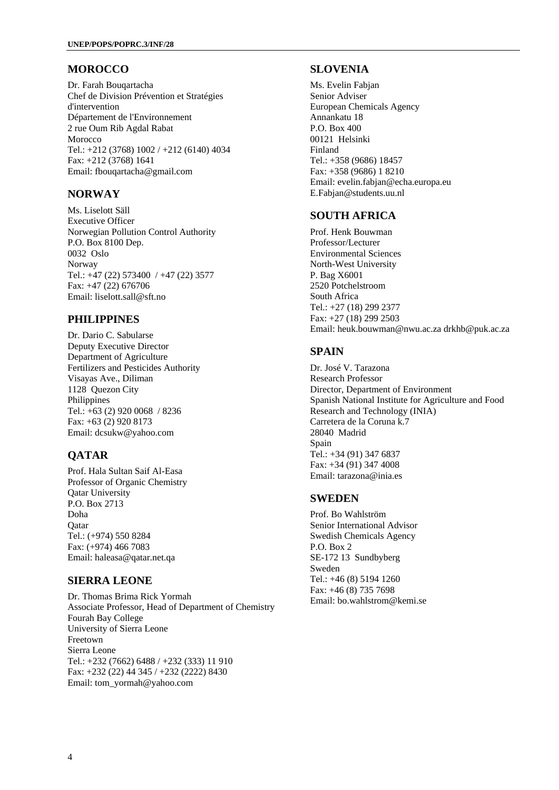#### **MOROCCO**

Dr. Farah Bouqartacha Chef de Division Prévention et Stratégies d'intervention Département de l'Environnement 2 rue Oum Rib Agdal Rabat Morocco Tel.: +212 (3768) 1002 / +212 (6140) 4034 Fax: +212 (3768) 1641 Email: fbouqartacha@gmail.com

#### **NORWAY**

Ms. Liselott Säll Executive Officer Norwegian Pollution Control Authority P.O. Box 8100 Dep. 0032 Oslo Norway Tel.: +47 (22) 573400 / +47 (22) 3577 Fax: +47 (22) 676706 Email: liselott.sall@sft.no

#### **PHILIPPINES**

Dr. Dario C. Sabularse Deputy Executive Director Department of Agriculture Fertilizers and Pesticides Authority Visayas Ave., Diliman 1128 Quezon City Philippines Tel.: +63 (2) 920 0068 / 8236 Fax: +63 (2) 920 8173 Email: dcsukw@yahoo.com

# **QATAR**

Prof. Hala Sultan Saif Al-Easa Professor of Organic Chemistry Qatar University P.O. Box 2713 Doha **O**atar Tel.: (+974) 550 8284 Fax: (+974) 466 7083 Email: haleasa@qatar.net.qa

#### **SIERRA LEONE**

Dr. Thomas Brima Rick Yormah Associate Professor, Head of Department of Chemistry Fourah Bay College University of Sierra Leone Freetown Sierra Leone Tel.: +232 (7662) 6488 / +232 (333) 11 910 Fax: +232 (22) 44 345 / +232 (2222) 8430 Email: tom\_yormah@yahoo.com

#### **SLOVENIA**

Ms. Evelin Fabjan Senior Adviser European Chemicals Agency Annankatu 18 P.O. Box 400 00121 Helsinki Finland Tel.: +358 (9686) 18457 Fax: +358 (9686) 1 8210 Email: evelin.fabjan@echa.europa.eu E.Fabjan@students.uu.nl

#### **SOUTH AFRICA**

Prof. Henk Bouwman Professor/Lecturer Environmental Sciences North-West University P. Bag X6001 2520 Potchelstroom South Africa Tel.: +27 (18) 299 2377 Fax: +27 (18) 299 2503 Email: heuk.bouwman@nwu.ac.za drkhb@puk.ac.za

#### **SPAIN**

Dr. José V. Tarazona Research Professor Director, Department of Environment Spanish National Institute for Agriculture and Food Research and Technology (INIA) Carretera de la Coruna k.7 28040 Madrid Spain Tel.: +34 (91) 347 6837 Fax: +34 (91) 347 4008 Email: tarazona@inia.es

#### **SWEDEN**

Prof. Bo Wahlström Senior International Advisor Swedish Chemicals Agency P.O. Box 2 SE-172 13 Sundbyberg Sweden Tel.: +46 (8) 5194 1260 Fax: +46 (8) 735 7698 Email: bo.wahlstrom@kemi.se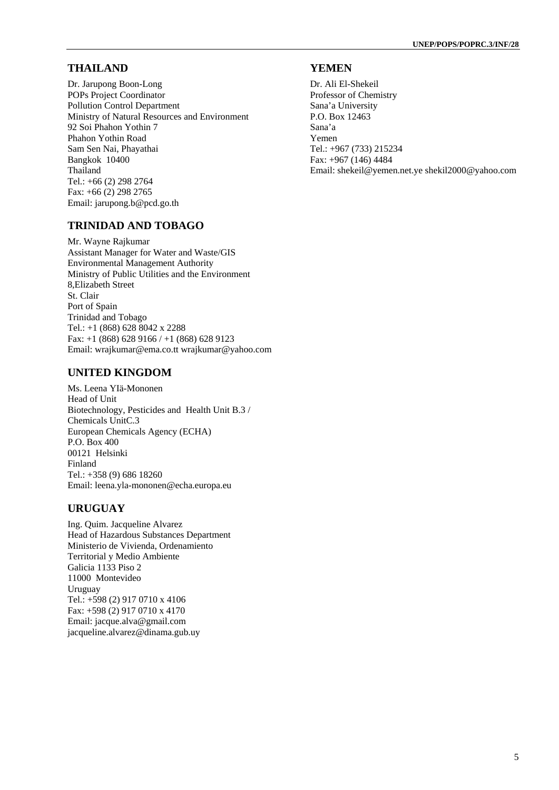#### **THAILAND**

Dr. Jarupong Boon-Long POPs Project Coordinator Pollution Control Department Ministry of Natural Resources and Environment 92 Soi Phahon Yothin 7 Phahon Yothin Road Sam Sen Nai, Phayathai Bangkok 10400 Thailand Tel.: +66 (2) 298 2764 Fax: +66 (2) 298 2765 Email: jarupong.b@pcd.go.th

#### **TRINIDAD AND TOBAGO**

Mr. Wayne Rajkumar Assistant Manager for Water and Waste/GIS Environmental Management Authority Ministry of Public Utilities and the Environment 8,Elizabeth Street St. Clair Port of Spain Trinidad and Tobago Tel.: +1 (868) 628 8042 x 2288 Fax: +1 (868) 628 9166 / +1 (868) 628 9123 Email: wrajkumar@ema.co.tt wrajkumar@yahoo.com

#### **UNITED KINGDOM**

Ms. Leena YIä-Mononen Head of Unit Biotechnology, Pesticides and Health Unit B.3 / Chemicals UnitC.3 European Chemicals Agency (ECHA) P.O. Box 400 00121 Helsinki Finland Tel.: +358 (9) 686 18260 Email: leena.yla-mononen@echa.europa.eu

#### **URUGUAY**

Ing. Quim. Jacqueline Alvarez Head of Hazardous Substances Department Ministerio de Vivienda, Ordenamiento Territorial y Medio Ambiente Galicia 1133 Piso 2 11000 Montevideo Uruguay Tel.: +598 (2) 917 0710 x 4106 Fax: +598 (2) 917 0710 x 4170 Email: jacque.alva@gmail.com jacqueline.alvarez@dinama.gub.uy

#### **YEMEN**

Dr. Ali El-Shekeil Professor of Chemistry Sana'a University P.O. Box 12463 Sana'a Yemen Tel.: +967 (733) 215234 Fax: +967 (146) 4484 Email: shekeil@yemen.net.ye shekil2000@yahoo.com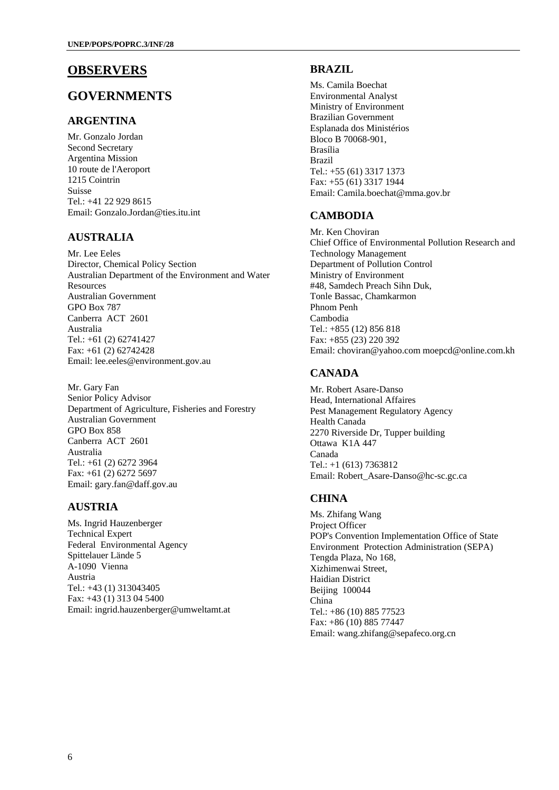# **OBSERVERS**

# **GOVERNMENTS**

#### **ARGENTINA**

Mr. Gonzalo Jordan Second Secretary Argentina Mission 10 route de l'Aeroport 1215 Cointrin Suisse Tel.: +41 22 929 8615 Email: Gonzalo.Jordan@ties.itu.int

#### **AUSTRALIA**

Mr. Lee Eeles Director, Chemical Policy Section Australian Department of the Environment and Water Resources Australian Government GPO Box 787 Canberra ACT 2601 Australia Tel.: +61 (2) 62741427 Fax: +61 (2) 62742428 Email: lee.eeles@environment.gov.au

Mr. Gary Fan Senior Policy Advisor Department of Agriculture, Fisheries and Forestry Australian Government GPO Box 858 Canberra ACT 2601 Australia Tel.: +61 (2) 6272 3964 Fax: +61 (2) 6272 5697 Email: gary.fan@daff.gov.au

# **AUSTRIA**

Ms. Ingrid Hauzenberger Technical Expert Federal Environmental Agency Spittelauer Lände 5 A-1090 Vienna Austria Tel.: +43 (1) 313043405 Fax: +43 (1) 313 04 5400 Email: ingrid.hauzenberger@umweltamt.at

#### **BRAZIL**

Ms. Camila Boechat Environmental Analyst Ministry of Environment Brazilian Government Esplanada dos Ministérios Bloco B 70068-901, Brasília Brazil Tel.: +55 (61) 3317 1373 Fax: +55 (61) 3317 1944 Email: Camila.boechat@mma.gov.br

#### **CAMBODIA**

Mr. Ken Choviran Chief Office of Environmental Pollution Research and Technology Management Department of Pollution Control Ministry of Environment #48, Samdech Preach Sihn Duk, Tonle Bassac, Chamkarmon Phnom Penh Cambodia Tel.: +855 (12) 856 818 Fax: +855 (23) 220 392 Email: choviran@yahoo.com moepcd@online.com.kh

# **CANADA**

Mr. Robert Asare-Danso Head, International Affaires Pest Management Regulatory Agency Health Canada 2270 Riverside Dr, Tupper building Ottawa K1A 447 Canada Tel.: +1 (613) 7363812 Email: Robert\_Asare-Danso@hc-sc.gc.ca

#### **CHINA**

Ms. Zhifang Wang Project Officer POP's Convention Implementation Office of State Environment Protection Administration (SEPA) Tengda Plaza, No 168, Xizhimenwai Street, Haidian District Beijing 100044 China Tel.: +86 (10) 885 77523 Fax: +86 (10) 885 77447 Email: wang.zhifang@sepafeco.org.cn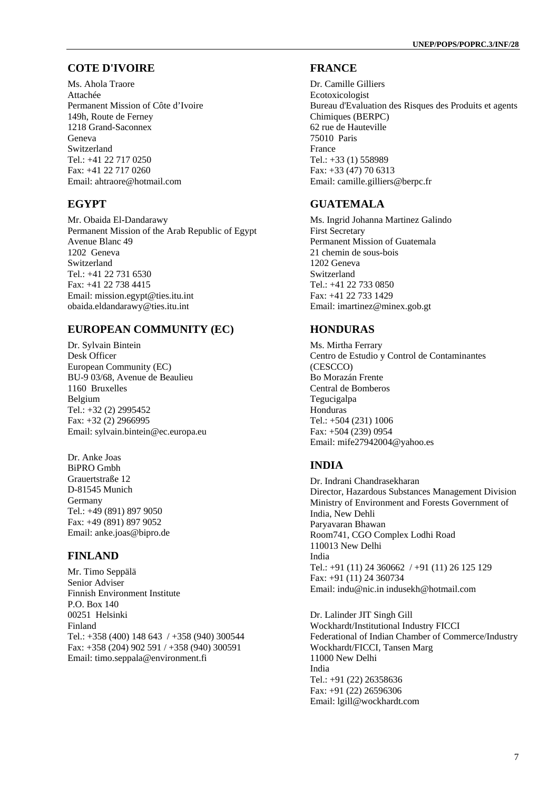#### **COTE D'IVOIRE**

Ms. Ahola Traore Attachée Permanent Mission of Côte d'Ivoire 149h, Route de Ferney 1218 Grand-Saconnex Geneva Switzerland Tel.: +41 22 717 0250 Fax: +41 22 717 0260 Email: ahtraore@hotmail.com

#### **EGYPT**

Mr. Obaida El-Dandarawy Permanent Mission of the Arab Republic of Egypt Avenue Blanc 49 1202 Geneva Switzerland Tel.: +41 22 731 6530 Fax: +41 22 738 4415 Email: mission.egypt@ties.itu.int obaida.eldandarawy@ties.itu.int

#### **EUROPEAN COMMUNITY (EC)**

Dr. Sylvain Bintein Desk Officer European Community (EC) BU-9 03/68, Avenue de Beaulieu 1160 Bruxelles Belgium Tel.: +32 (2) 2995452 Fax: +32 (2) 2966995 Email: sylvain.bintein@ec.europa.eu

Dr. Anke Joas BiPRO Gmbh Grauertstraße 12 D-81545 Munich Germany Tel.: +49 (891) 897 9050 Fax: +49 (891) 897 9052 Email: anke.joas@bipro.de

#### **FINLAND**

Mr. Timo Seppälä Senior Adviser Finnish Environment Institute P.O. Box 140 00251 Helsinki Finland Tel.: +358 (400) 148 643 / +358 (940) 300544 Fax: +358 (204) 902 591 / +358 (940) 300591 Email: timo.seppala@environment.fi

#### **FRANCE**

Dr. Camille Gilliers Ecotoxicologist Bureau d'Evaluation des Risques des Produits et agents Chimiques (BERPC) 62 rue de Hauteville 75010 Paris France Tel.: +33 (1) 558989 Fax: +33 (47) 70 6313 Email: camille.gilliers@berpc.fr

#### **GUATEMALA**

Ms. Ingrid Johanna Martinez Galindo First Secretary Permanent Mission of Guatemala 21 chemin de sous-bois 1202 Geneva Switzerland Tel.: +41 22 733 0850 Fax: +41 22 733 1429 Email: imartinez@minex.gob.gt

#### **HONDURAS**

Ms. Mirtha Ferrary Centro de Estudio y Control de Contaminantes (CESCCO) Bo Morazán Frente Central de Bomberos Tegucigalpa Honduras Tel.: +504 (231) 1006 Fax: +504 (239) 0954 Email: mife27942004@yahoo.es

#### **INDIA**

Dr. Indrani Chandrasekharan Director, Hazardous Substances Management Division Ministry of Environment and Forests Government of India, New Dehli Paryavaran Bhawan Room741, CGO Complex Lodhi Road 110013 New Delhi India Tel.: +91 (11) 24 360662 / +91 (11) 26 125 129 Fax: +91 (11) 24 360734 Email: indu@nic.in indusekh@hotmail.com

Dr. Lalinder JIT Singh Gill Wockhardt/Institutional Industry FICCI Federational of Indian Chamber of Commerce/Industry Wockhardt/FICCI, Tansen Marg 11000 New Delhi India Tel.: +91 (22) 26358636 Fax: +91 (22) 26596306 Email: lgill@wockhardt.com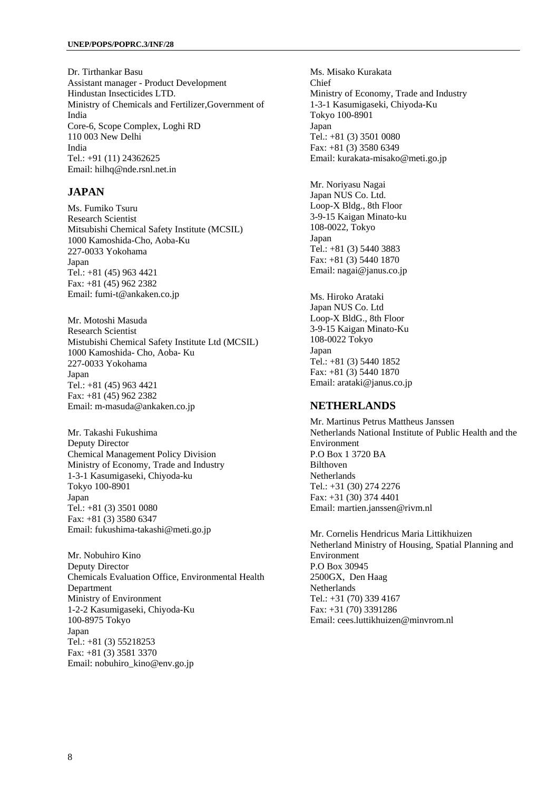Dr. Tirthankar Basu Assistant manager - Product Development Hindustan Insecticides LTD. Ministry of Chemicals and Fertilizer,Government of India Core-6, Scope Complex, Loghi RD 110 003 New Delhi India Tel.: +91 (11) 24362625 Email: hilhq@nde.rsnl.net.in

#### **JAPAN**

Ms. Fumiko Tsuru Research Scientist Mitsubishi Chemical Safety Institute (MCSIL) 1000 Kamoshida-Cho, Aoba-Ku 227-0033 Yokohama Japan Tel.: +81 (45) 963 4421 Fax: +81 (45) 962 2382 Email: fumi-t@ankaken.co.jp

Mr. Motoshi Masuda Research Scientist Mistubishi Chemical Safety Institute Ltd (MCSIL) 1000 Kamoshida- Cho, Aoba- Ku 227-0033 Yokohama Japan Tel.: +81 (45) 963 4421 Fax: +81 (45) 962 2382 Email: m-masuda@ankaken.co.jp

Mr. Takashi Fukushima Deputy Director Chemical Management Policy Division Ministry of Economy, Trade and Industry 1-3-1 Kasumigaseki, Chiyoda-ku Tokyo 100-8901 Japan Tel.: +81 (3) 3501 0080 Fax: +81 (3) 3580 6347 Email: fukushima-takashi@meti.go.jp

Mr. Nobuhiro Kino Deputy Director Chemicals Evaluation Office, Environmental Health Department Ministry of Environment 1-2-2 Kasumigaseki, Chiyoda-Ku 100-8975 Tokyo Japan Tel.: +81 (3) 55218253 Fax: +81 (3) 3581 3370 Email: nobuhiro\_kino@env.go.jp

Ms. Misako Kurakata  $Chi<sub>ef</sub>$ Ministry of Economy, Trade and Industry 1-3-1 Kasumigaseki, Chiyoda-Ku Tokyo 100-8901 Japan Tel.: +81 (3) 3501 0080 Fax: +81 (3) 3580 6349 Email: kurakata-misako@meti.go.jp

Mr. Noriyasu Nagai Japan NUS Co. Ltd. Loop-X Bldg., 8th Floor 3-9-15 Kaigan Minato-ku 108-0022, Tokyo Japan Tel.: +81 (3) 5440 3883 Fax: +81 (3) 5440 1870 Email: nagai@janus.co.jp

Ms. Hiroko Arataki Japan NUS Co. Ltd Loop-X BldG., 8th Floor 3-9-15 Kaigan Minato-Ku 108-0022 Tokyo Japan Tel.: +81 (3) 5440 1852 Fax: +81 (3) 5440 1870 Email: arataki@janus.co.jp

#### **NETHERLANDS**

Mr. Martinus Petrus Mattheus Janssen Netherlands National Institute of Public Health and the Environment P.O Box 1 3720 BA Bilthoven Netherlands Tel.: +31 (30) 274 2276 Fax: +31 (30) 374 4401 Email: martien.janssen@rivm.nl

Mr. Cornelis Hendricus Maria Littikhuizen Netherland Ministry of Housing, Spatial Planning and Environment P.O Box 30945 2500GX, Den Haag **Netherlands** Tel.: +31 (70) 339 4167 Fax: +31 (70) 3391286 Email: cees.luttikhuizen@minvrom.nl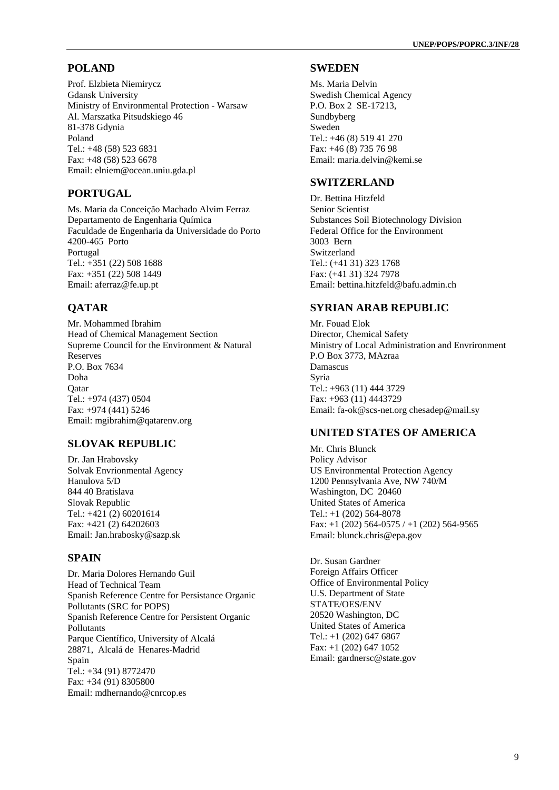#### **POLAND**

Prof. Elzbieta Niemirycz Gdansk University Ministry of Environmental Protection - Warsaw Al. Marszatka Pitsudskiego 46 81-378 Gdynia Poland Tel.: +48 (58) 523 6831 Fax: +48 (58) 523 6678 Email: elniem@ocean.uniu.gda.pl

#### **PORTUGAL**

Ms. Maria da Conceição Machado Alvim Ferraz Departamento de Engenharia Química Faculdade de Engenharia da Universidade do Porto 4200-465 Porto Portugal Tel.: +351 (22) 508 1688 Fax: +351 (22) 508 1449 Email: aferraz@fe.up.pt

# **QATAR**

Mr. Mohammed Ibrahim Head of Chemical Management Section Supreme Council for the Environment & Natural Reserves P.O. Box 7634 Doha **O**atar Tel.: +974 (437) 0504 Fax: +974 (441) 5246 Email: mgibrahim@qatarenv.org

#### **SLOVAK REPUBLIC**

Dr. Jan Hrabovsky Solvak Envrionmental Agency Hanulova 5/D 844 40 Bratislava Slovak Republic Tel.: +421 (2) 60201614 Fax: +421 (2) 64202603 Email: Jan.hrabosky@sazp.sk

# **SPAIN**

Dr. Maria Dolores Hernando Guil Head of Technical Team Spanish Reference Centre for Persistance Organic Pollutants (SRC for POPS) Spanish Reference Centre for Persistent Organic Pollutants Parque Científico, University of Alcalá 28871, Alcalá de Henares-Madrid Spain Tel.: +34 (91) 8772470 Fax: +34 (91) 8305800 Email: mdhernando@cnrcop.es

#### **SWEDEN**

Ms. Maria Delvin Swedish Chemical Agency P.O. Box 2 SE-17213, Sundbyberg Sweden Tel.: +46 (8) 519 41 270 Fax: +46 (8) 735 76 98 Email: maria.delvin@kemi.se

#### **SWITZERLAND**

Dr. Bettina Hitzfeld Senior Scientist Substances Soil Biotechnology Division Federal Office for the Environment 3003 Bern Switzerland Tel.: (+41 31) 323 1768 Fax: (+41 31) 324 7978 Email: bettina.hitzfeld@bafu.admin.ch

#### **SYRIAN ARAB REPUBLIC**

Mr. Fouad Elok Director, Chemical Safety Ministry of Local Administration and Envrironment P.O Box 3773, MAzraa Damascus Syria Tel.: +963 (11) 444 3729 Fax: +963 (11) 4443729 Email: fa-ok@scs-net.org chesadep@mail.sy

#### **UNITED STATES OF AMERICA**

Mr. Chris Blunck Policy Advisor US Environmental Protection Agency 1200 Pennsylvania Ave, NW 740/M Washington, DC 20460 United States of America Tel.: +1 (202) 564-8078 Fax:  $+1$  (202) 564-0575 /  $+1$  (202) 564-9565 Email: blunck.chris@epa.gov

Dr. Susan Gardner Foreign Affairs Officer Office of Environmental Policy U.S. Department of State STATE/OES/ENV 20520 Washington, DC United States of America Tel.: +1 (202) 647 6867 Fax: +1 (202) 647 1052 Email: gardnersc@state.gov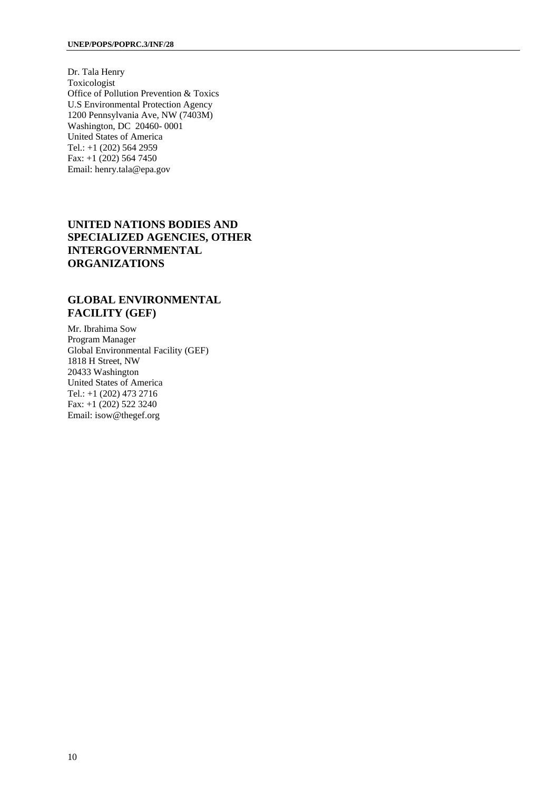Dr. Tala Henry Toxicologist Office of Pollution Prevention & Toxics U.S Environmental Protection Agency 1200 Pennsylvania Ave, NW (7403M) Washington, DC 20460- 0001 United States of America Tel.: +1 (202) 564 2959 Fax: +1 (202) 564 7450 Email: henry.tala@epa.gov

#### **UNITED NATIONS BODIES AND SPECIALIZED AGENCIES, OTHER INTERGOVERNMENTAL ORGANIZATIONS**

#### **GLOBAL ENVIRONMENTAL FACILITY (GEF)**

Mr. Ibrahima Sow Program Manager Global Environmental Facility (GEF) 1818 H Street, NW 20433 Washington United States of America Tel.: +1 (202) 473 2716 Fax: +1 (202) 522 3240 Email: isow@thegef.org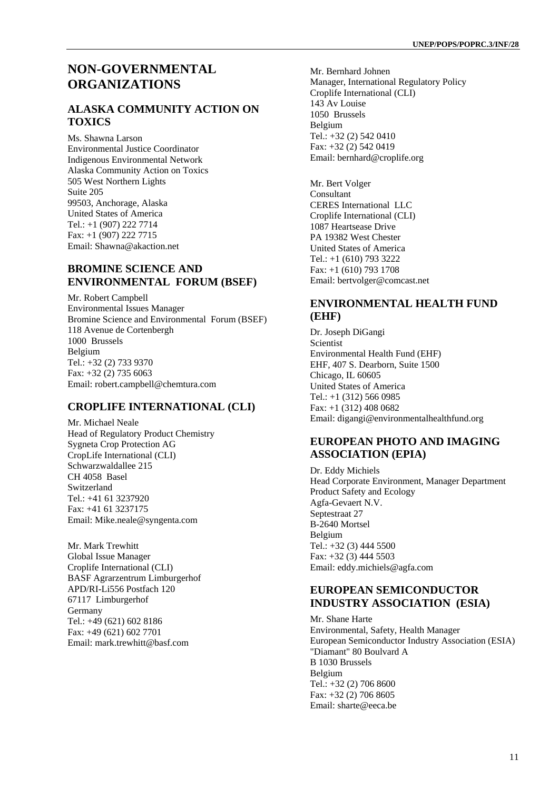#### **NON-GOVERNMENTAL ORGANIZATIONS**

#### **ALASKA COMMUNITY ACTION ON TOXICS**

Ms. Shawna Larson Environmental Justice Coordinator Indigenous Environmental Network Alaska Community Action on Toxics 505 West Northern Lights Suite 205 99503, Anchorage, Alaska United States of America Tel.: +1 (907) 222 7714 Fax: +1 (907) 222 7715 Email: Shawna@akaction.net

#### **BROMINE SCIENCE AND ENVIRONMENTAL FORUM (BSEF)**

Mr. Robert Campbell Environmental Issues Manager Bromine Science and Environmental Forum (BSEF) 118 Avenue de Cortenbergh 1000 Brussels Belgium Tel.: +32 (2) 733 9370 Fax: +32 (2) 735 6063 Email: robert.campbell@chemtura.com

#### **CROPLIFE INTERNATIONAL (CLI)**

Mr. Michael Neale Head of Regulatory Product Chemistry Sygneta Crop Protection AG CropLife International (CLI) Schwarzwaldallee 215 CH 4058 Basel Switzerland Tel.: +41 61 3237920 Fax: +41 61 3237175 Email: Mike.neale@syngenta.com

Mr. Mark Trewhitt Global Issue Manager Croplife International (CLI) BASF Agrarzentrum Limburgerhof APD/RI-Li556 Postfach 120 67117 Limburgerhof Germany Tel.: +49 (621) 602 8186 Fax: +49 (621) 602 7701 Email: mark.trewhitt@basf.com

Mr. Bernhard Johnen Manager, International Regulatory Policy Croplife International (CLI) 143 Av Louise 1050 Brussels Belgium Tel.: +32 (2) 542 0410 Fax: +32 (2) 542 0419 Email: bernhard@croplife.org

Mr. Bert Volger Consultant CERES International LLC Croplife International (CLI) 1087 Heartsease Drive PA 19382 West Chester United States of America Tel.: +1 (610) 793 3222 Fax: +1 (610) 793 1708 Email: bertvolger@comcast.net

#### **ENVIRONMENTAL HEALTH FUND (EHF)**

Dr. Joseph DiGangi Scientist Environmental Health Fund (EHF) EHF, 407 S. Dearborn, Suite 1500 Chicago, IL 60605 United States of America Tel.: +1 (312) 566 0985 Fax: +1 (312) 408 0682 Email: digangi@environmentalhealthfund.org

#### **EUROPEAN PHOTO AND IMAGING ASSOCIATION (EPIA)**

Dr. Eddy Michiels Head Corporate Environment, Manager Department Product Safety and Ecology Agfa-Gevaert N.V. Septestraat 27 B-2640 Mortsel Belgium Tel.: +32 (3) 444 5500 Fax: +32 (3) 444 5503 Email: eddy.michiels@agfa.com

#### **EUROPEAN SEMICONDUCTOR INDUSTRY ASSOCIATION (ESIA)**

Mr. Shane Harte Environmental, Safety, Health Manager European Semiconductor Industry Association (ESIA) "Diamant" 80 Boulvard A B 1030 Brussels Belgium Tel.: +32 (2) 706 8600 Fax: +32 (2) 706 8605 Email: sharte@eeca.be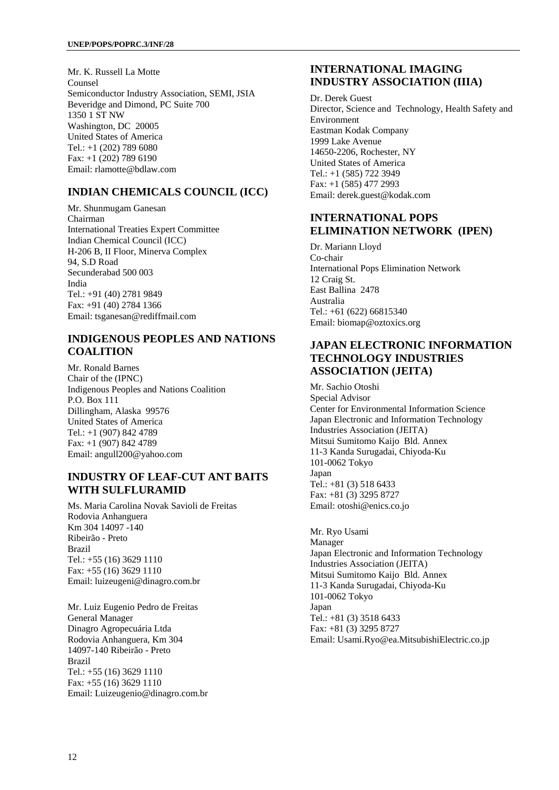Mr. K. Russell La Motte Counsel Semiconductor Industry Association, SEMI, JSIA Beveridge and Dimond, PC Suite 700 1350 1 ST NW Washington, DC 20005 United States of America Tel.: +1 (202) 789 6080 Fax: +1 (202) 789 6190 Email: rlamotte@bdlaw.com

#### **INDIAN CHEMICALS COUNCIL (ICC)**

Mr. Shunmugam Ganesan Chairman International Treaties Expert Committee Indian Chemical Council (ICC) H-206 B, II Floor, Minerva Complex 94, S.D Road Secunderabad 500 003 India Tel.: +91 (40) 2781 9849 Fax: +91 (40) 2784 1366 Email: tsganesan@rediffmail.com

#### **INDIGENOUS PEOPLES AND NATIONS COALITION**

Mr. Ronald Barnes Chair of the (IPNC) Indigenous Peoples and Nations Coalition P.O. Box 111 Dillingham, Alaska 99576 United States of America Tel.: +1 (907) 842 4789 Fax: +1 (907) 842 4789 Email: angull200@yahoo.com

#### **INDUSTRY OF LEAF-CUT ANT BAITS WITH SULFLURAMID**

Ms. Maria Carolina Novak Savioli de Freitas Rodovia Anhanguera Km 304 14097 -140 Ribeirão - Preto Brazil Tel.: +55 (16) 3629 1110 Fax: +55 (16) 3629 1110 Email: luizeugeni@dinagro.com.br

Mr. Luiz Eugenio Pedro de Freitas General Manager Dinagro Agropecuária Ltda Rodovia Anhanguera, Km 304 14097-140 Ribeirão - Preto Brazil Tel.: +55 (16) 3629 1110 Fax: +55 (16) 3629 1110 Email: Luizeugenio@dinagro.com.br

#### **INTERNATIONAL IMAGING INDUSTRY ASSOCIATION (IIIA)**

Dr. Derek Guest Director, Science and Technology, Health Safety and Environment Eastman Kodak Company 1999 Lake Avenue 14650-2206, Rochester, NY United States of America Tel.: +1 (585) 722 3949 Fax: +1 (585) 477 2993 Email: derek.guest@kodak.com

#### **INTERNATIONAL POPS ELIMINATION NETWORK (IPEN)**

Dr. Mariann Lloyd Co-chair International Pops Elimination Network 12 Craig St. East Ballina 2478 Australia Tel.: +61 (622) 66815340 Email: biomap@oztoxics.org

#### **JAPAN ELECTRONIC INFORMATION TECHNOLOGY INDUSTRIES ASSOCIATION (JEITA)**

Mr. Sachio Otoshi Special Advisor Center for Environmental Information Science Japan Electronic and Information Technology Industries Association (JEITA) Mitsui Sumitomo Kaijo Bld. Annex 11-3 Kanda Surugadai, Chiyoda-Ku 101-0062 Tokyo Japan Tel.: +81 (3) 518 6433 Fax: +81 (3) 3295 8727 Email: otoshi@enics.co.jo

Mr. Ryo Usami Manager Japan Electronic and Information Technology Industries Association (JEITA) Mitsui Sumitomo Kaijo Bld. Annex 11-3 Kanda Surugadai, Chiyoda-Ku 101-0062 Tokyo Japan Tel.: +81 (3) 3518 6433 Fax: +81 (3) 3295 8727 Email: Usami.Ryo@ea.MitsubishiElectric.co.jp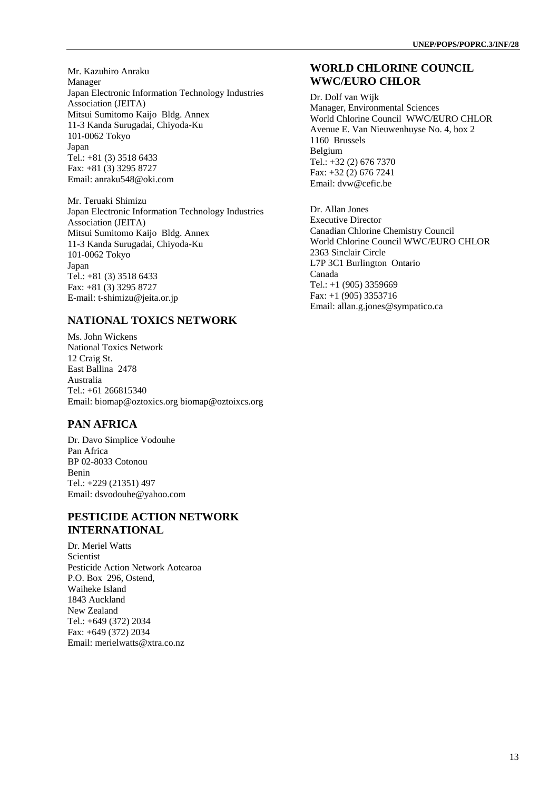Mr. Kazuhiro Anraku Manager Japan Electronic Information Technology Industries Association (JEITA) Mitsui Sumitomo Kaijo Bldg. Annex 11-3 Kanda Surugadai, Chiyoda-Ku 101-0062 Tokyo Japan Tel.: +81 (3) 3518 6433 Fax: +81 (3) 3295 8727 Email: anraku548@oki.com

Mr. Teruaki Shimizu Japan Electronic Information Technology Industries Association (JEITA) Mitsui Sumitomo Kaijo Bldg. Annex 11-3 Kanda Surugadai, Chiyoda-Ku 101-0062 Tokyo Japan Tel.: +81 (3) 3518 6433 Fax: +81 (3) 3295 8727 E-mail: t-shimizu@jeita.or.jp

#### **NATIONAL TOXICS NETWORK**

Ms. John Wickens National Toxics Network 12 Craig St. East Ballina 2478 Australia Tel.: +61 266815340 Email: biomap@oztoxics.org biomap@oztoixcs.org

#### **PAN AFRICA**

Dr. Davo Simplice Vodouhe Pan Africa BP 02-8033 Cotonou Benin Tel.: +229 (21351) 497 Email: dsvodouhe@yahoo.com

#### **PESTICIDE ACTION NETWORK INTERNATIONAL**

Dr. Meriel Watts Scientist Pesticide Action Network Aotearoa P.O. Box 296, Ostend, Waiheke Island 1843 Auckland New Zealand Tel.: +649 (372) 2034 Fax: +649 (372) 2034 Email: merielwatts@xtra.co.nz

#### **WORLD CHLORINE COUNCIL WWC/EURO CHLOR**

Dr. Dolf van Wijk Manager, Environmental Sciences World Chlorine Council WWC/EURO CHLOR Avenue E. Van Nieuwenhuyse No. 4, box 2 1160 Brussels Belgium Tel.: +32 (2) 676 7370 Fax: +32 (2) 676 7241 Email: dvw@cefic.be

Dr. Allan Jones Executive Director Canadian Chlorine Chemistry Council World Chlorine Council WWC/EURO CHLOR 2363 Sinclair Circle L7P 3C1 Burlington Ontario Canada Tel.: +1 (905) 3359669 Fax: +1 (905) 3353716 Email: allan.g.jones@sympatico.ca